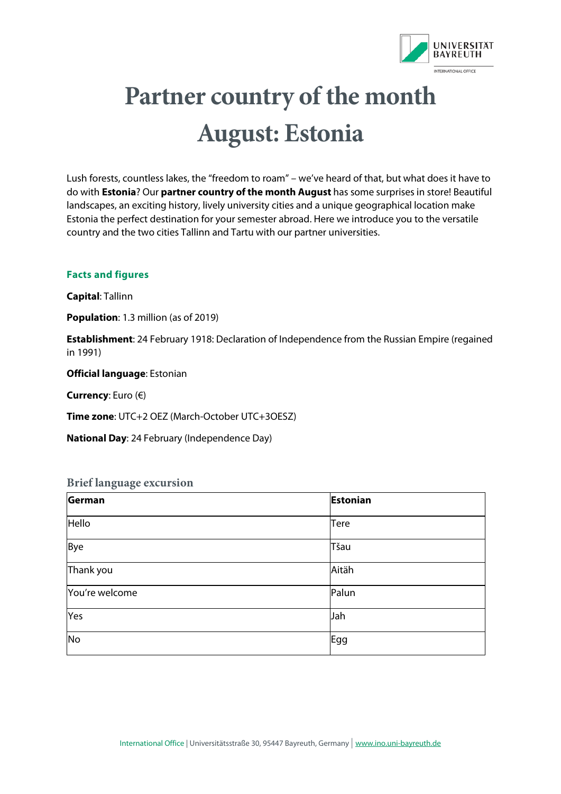

# **Partner country of the month August: Estonia**

Lush forests, countless lakes, the "freedom to roam" – we've heard of that, but what does it have to do with **Estonia**? Our **partner country of the month August** has some surprises in store! Beautiful landscapes, an exciting history, lively university cities and a unique geographical location make Estonia the perfect destination for your semester abroad. Here we introduce you to the versatile country and the two cities Tallinn and Tartu with our partner universities.

#### **Facts and figures**

**Capital**: Tallinn

**Population**: 1.3 million (as of 2019)

**Establishment**: 24 February 1918: Declaration of Independence from the Russian Empire (regained in 1991)

**Official language**: Estonian

**Currency**: Euro (€)

**Time zone**: UTC+2 OEZ (March-October UTC+3OESZ)

**National Day**: 24 February (Independence Day)

#### **Brief language excursion**

| German          | <b>Estonian</b> |
|-----------------|-----------------|
| Hello           | <b>Tere</b>     |
| Bye             | Tšau            |
| Thank you       | Aitäh           |
| You're welcome  | Palun           |
| Yes             | Jah             |
| $\overline{No}$ | Egg             |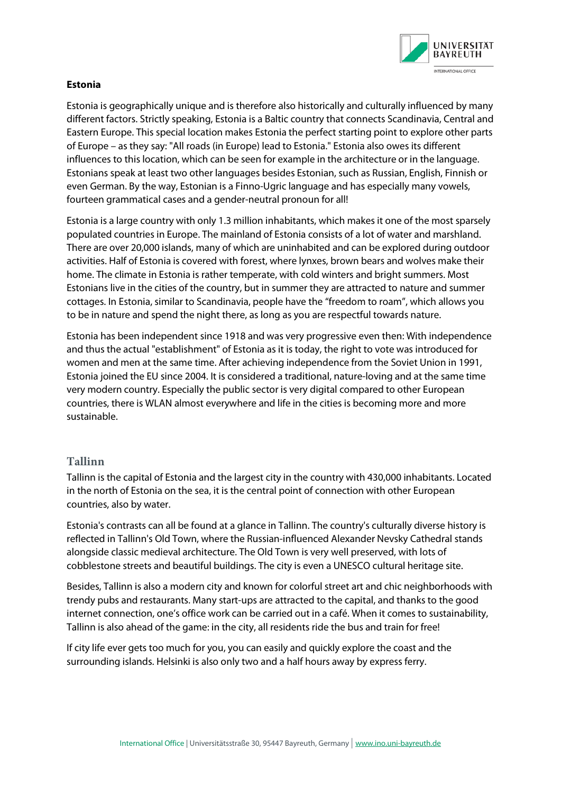

### **Estonia**

Estonia is geographically unique and is therefore also historically and culturally influenced by many different factors. Strictly speaking, Estonia is a Baltic country that connects Scandinavia, Central and Eastern Europe. This special location makes Estonia the perfect starting point to explore other parts of Europe – as they say: "All roads (in Europe) lead to Estonia." Estonia also owes its different influences to this location, which can be seen for example in the architecture or in the language. Estonians speak at least two other languages besides Estonian, such as Russian, English, Finnish or even German. By the way, Estonian is a Finno-Ugric language and has especially many vowels, fourteen grammatical cases and a gender-neutral pronoun for all!

Estonia is a large country with only 1.3 million inhabitants, which makes it one of the most sparsely populated countries in Europe. The mainland of Estonia consists of a lot of water and marshland. There are over 20,000 islands, many of which are uninhabited and can be explored during outdoor activities. Half of Estonia is covered with forest, where lynxes, brown bears and wolves make their home. The climate in Estonia is rather temperate, with cold winters and bright summers. Most Estonians live in the cities of the country, but in summer they are attracted to nature and summer cottages. In Estonia, similar to Scandinavia, people have the "freedom to roam", which allows you to be in nature and spend the night there, as long as you are respectful towards nature.

Estonia has been independent since 1918 and was very progressive even then: With independence and thus the actual "establishment" of Estonia as it is today, the right to vote was introduced for women and men at the same time. After achieving independence from the Soviet Union in 1991, Estonia joined the EU since 2004. It is considered a traditional, nature-loving and at the same time very modern country. Especially the public sector is very digital compared to other European countries, there is WLAN almost everywhere and life in the cities is becoming more and more sustainable.

## **Tallinn**

Tallinn is the capital of Estonia and the largest city in the country with 430,000 inhabitants. Located in the north of Estonia on the sea, it is the central point of connection with other European countries, also by water.

Estonia's contrasts can all be found at a glance in Tallinn. The country's culturally diverse history is reflected in Tallinn's Old Town, where the Russian-influenced Alexander Nevsky Cathedral stands alongside classic medieval architecture. The Old Town is very well preserved, with lots of cobblestone streets and beautiful buildings. The city is even a UNESCO cultural heritage site.

Besides, Tallinn is also a modern city and known for colorful street art and chic neighborhoods with trendy pubs and restaurants. Many start-ups are attracted to the capital, and thanks to the good internet connection, one's office work can be carried out in a café. When it comes to sustainability, Tallinn is also ahead of the game: in the city, all residents ride the bus and train for free!

If city life ever gets too much for you, you can easily and quickly explore the coast and the surrounding islands. Helsinki is also only two and a half hours away by express ferry.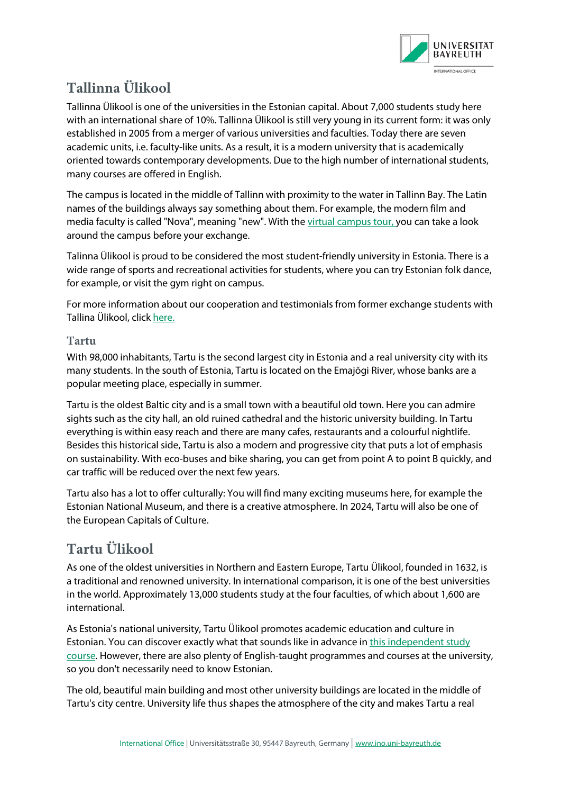

# **Tallinna Ülikool**

Tallinna Ülikool is one of the universities in the Estonian capital. About 7,000 students study here with an international share of 10%. Tallinna Ülikool is still very young in its current form: it was only established in 2005 from a merger of various universities and faculties. Today there are seven academic units, i.e. faculty-like units. As a result, it is a modern university that is academically oriented towards contemporary developments. Due to the high number of international students, many courses are offered in English.

The campus is located in the middle of Tallinn with proximity to the water in Tallinn Bay. The Latin names of the buildings always say something about them. For example, the modern film and media faculty is called "Nova", meaning "new". With th[e virtual campus tour, y](http://virtualtour.tlu.ee/)ou can take a look around the campus before your exchange.

Talinna Ülikool is proud to be considered the most student-friendly university in Estonia. There is a wide range of sports and recreational activities for students, where you can try Estonian folk dance, for example, or visit the gym right on campus.

For more information about our cooperation and testimonials from former exchange students with Tallina Ülikool, [click here.](https://bayreuth.moveon4.de/publisher/institution/1/46/deu?relTypes=4&frmTypes=1|4|9|11|13|30|31|33&acadYears=2020|2021|2022&acadPeriods=&directions=2&defaultRelStatus=2&inst_int_settings_filter=&acad_year_display=2021|2022&acad_period_display=&document_types=9&restriction_types=1&restriction_id_filter=&inst_document_types=10&inst_restriction_types=1&keyword=&country=67&institution_external=&relation_framework=&stayopportunity_subject_area=&stayopportunity_level=&instance=1330&publisherId=1)

## **Tartu**

With 98,000 inhabitants, Tartu is the second largest city in Estonia and a real university city with its many students. In the south of Estonia, Tartu is located on the Emajõgi River, whose banks are a popular meeting place, especially in summer.

Tartu is the oldest Baltic city and is a small town with a beautiful old town. Here you can admire sights such as the city hall, an old ruined cathedral and the historic university building. In Tartu everything is within easy reach and there are many cafes, restaurants and a colourful nightlife. Besides this historical side, Tartu is also a modern and progressive city that puts a lot of emphasis on sustainability. With eco-buses and bike sharing, you can get from point A to point B quickly, and car traffic will be reduced over the next few years.

Tartu also has a lot to offer culturally: You will find many exciting museums here, for example the Estonian National Museum, and there is a creative atmosphere. In 2024, Tartu will also be one of the European Capitals of Culture.

# **Tartu Ülikool**

As one of the oldest universities in Northern and Eastern Europe, Tartu Ülikool, founded in 1632, is a traditional and renowned university. In international comparison, it is one of the best universities in the world. Approximately 13,000 students study at the four faculties, of which about 1,600 are international.

As Estonia's national university, Tartu Ülikool promotes academic education and culture in Estonian. You can discover exactly what that sounds like in advance i[n this independent study](https://www.keeleklikk.ee/)  [course.](https://www.keeleklikk.ee/) However, there are also plenty of English-taught programmes and courses at the university, so you don't necessarily need to know Estonian.

The old, beautiful main building and most other university buildings are located in the middle of Tartu's city centre. University life thus shapes the atmosphere of the city and makes Tartu a real